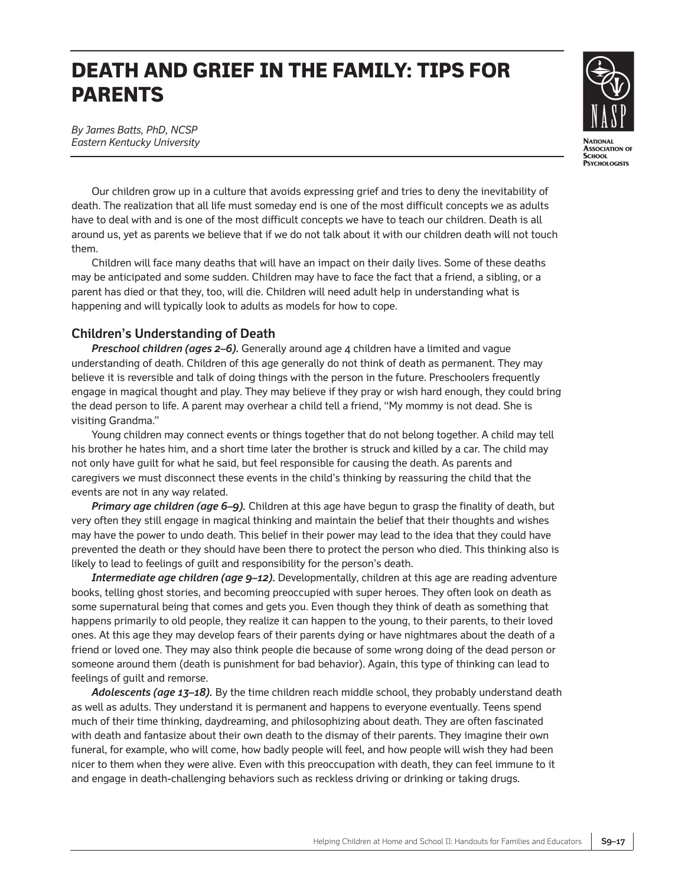# **DEATH AND GRIEF IN THE FAMILY: TIPS FOR PARENTS**



*By James Batts, PhD, NCSP Eastern Kentucky University*

Our children grow up in a culture that avoids expressing grief and tries to deny the inevitability of death. The realization that all life must someday end is one of the most difficult concepts we as adults have to deal with and is one of the most difficult concepts we have to teach our children. Death is all around us, yet as parents we believe that if we do not talk about it with our children death will not touch them.

Children will face many deaths that will have an impact on their daily lives. Some of these deaths may be anticipated and some sudden. Children may have to face the fact that a friend, a sibling, or a parent has died or that they, too, will die. Children will need adult help in understanding what is happening and will typically look to adults as models for how to cope.

#### **Children's Understanding of Death**

*Preschool children (ages 2–6).* Generally around age 4 children have a limited and vague understanding of death. Children of this age generally do not think of death as permanent. They may believe it is reversible and talk of doing things with the person in the future. Preschoolers frequently engage in magical thought and play. They may believe if they pray or wish hard enough, they could bring the dead person to life. A parent may overhear a child tell a friend, "My mommy is not dead. She is visiting Grandma."

Young children may connect events or things together that do not belong together. A child may tell his brother he hates him, and a short time later the brother is struck and killed by a car. The child may not only have guilt for what he said, but feel responsible for causing the death. As parents and caregivers we must disconnect these events in the child's thinking by reassuring the child that the events are not in any way related.

*Primary age children (age 6–9).* Children at this age have begun to grasp the finality of death, but very often they still engage in magical thinking and maintain the belief that their thoughts and wishes may have the power to undo death. This belief in their power may lead to the idea that they could have prevented the death or they should have been there to protect the person who died. This thinking also is likely to lead to feelings of guilt and responsibility for the person's death.

*Intermediate age children (age 9–12).* Developmentally, children at this age are reading adventure books, telling ghost stories, and becoming preoccupied with super heroes. They often look on death as some supernatural being that comes and gets you. Even though they think of death as something that happens primarily to old people, they realize it can happen to the young, to their parents, to their loved ones. At this age they may develop fears of their parents dying or have nightmares about the death of a friend or loved one. They may also think people die because of some wrong doing of the dead person or someone around them (death is punishment for bad behavior). Again, this type of thinking can lead to feelings of guilt and remorse.

*Adolescents (age 13–18).* By the time children reach middle school, they probably understand death as well as adults. They understand it is permanent and happens to everyone eventually. Teens spend much of their time thinking, daydreaming, and philosophizing about death. They are often fascinated with death and fantasize about their own death to the dismay of their parents. They imagine their own funeral, for example, who will come, how badly people will feel, and how people will wish they had been nicer to them when they were alive. Even with this preoccupation with death, they can feel immune to it and engage in death-challenging behaviors such as reckless driving or drinking or taking drugs.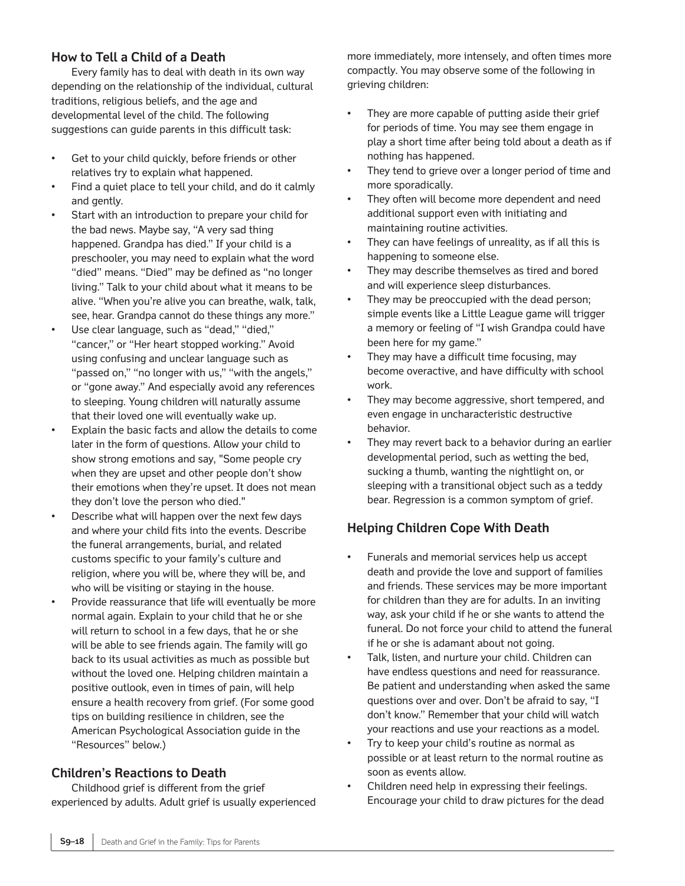# **How to Tell a Child of a Death**

Every family has to deal with death in its own way depending on the relationship of the individual, cultural traditions, religious beliefs, and the age and developmental level of the child. The following suggestions can guide parents in this difficult task:

- Get to your child quickly, before friends or other relatives try to explain what happened.
- Find a quiet place to tell your child, and do it calmly and gently.
- Start with an introduction to prepare your child for the bad news. Maybe say, "A very sad thing happened. Grandpa has died." If your child is a preschooler, you may need to explain what the word "died" means. "Died" may be defined as "no longer living." Talk to your child about what it means to be alive. "When you're alive you can breathe, walk, talk, see, hear. Grandpa cannot do these things any more."
- Use clear language, such as "dead," "died," "cancer," or "Her heart stopped working." Avoid using confusing and unclear language such as "passed on," "no longer with us," "with the angels," or "gone away." And especially avoid any references to sleeping. Young children will naturally assume that their loved one will eventually wake up.
- Explain the basic facts and allow the details to come later in the form of questions. Allow your child to show strong emotions and say, "Some people cry when they are upset and other people don't show their emotions when they're upset. It does not mean they don't love the person who died."
- Describe what will happen over the next few days and where your child fits into the events. Describe the funeral arrangements, burial, and related customs specific to your family's culture and religion, where you will be, where they will be, and who will be visiting or staying in the house.
- Provide reassurance that life will eventually be more normal again. Explain to your child that he or she will return to school in a few days, that he or she will be able to see friends again. The family will go back to its usual activities as much as possible but without the loved one. Helping children maintain a positive outlook, even in times of pain, will help ensure a health recovery from grief. (For some good tips on building resilience in children, see the American Psychological Association guide in the "Resources" below.)

# **Children's Reactions to Death**

Childhood grief is different from the grief experienced by adults. Adult grief is usually experienced more immediately, more intensely, and often times more compactly. You may observe some of the following in grieving children:

- They are more capable of putting aside their grief for periods of time. You may see them engage in play a short time after being told about a death as if nothing has happened.
- They tend to grieve over a longer period of time and more sporadically.
- They often will become more dependent and need additional support even with initiating and maintaining routine activities.
- They can have feelings of unreality, as if all this is happening to someone else.
- They may describe themselves as tired and bored and will experience sleep disturbances.
- They may be preoccupied with the dead person; simple events like a Little League game will trigger a memory or feeling of "I wish Grandpa could have been here for my game."
- They may have a difficult time focusing, may become overactive, and have difficulty with school work.
- They may become aggressive, short tempered, and even engage in uncharacteristic destructive behavior.
- They may revert back to a behavior during an earlier developmental period, such as wetting the bed, sucking a thumb, wanting the nightlight on, or sleeping with a transitional object such as a teddy bear. Regression is a common symptom of grief.

# **Helping Children Cope With Death**

- Funerals and memorial services help us accept death and provide the love and support of families and friends. These services may be more important for children than they are for adults. In an inviting way, ask your child if he or she wants to attend the funeral. Do not force your child to attend the funeral if he or she is adamant about not going.
- Talk, listen, and nurture your child. Children can have endless questions and need for reassurance. Be patient and understanding when asked the same questions over and over. Don't be afraid to say, "I don't know." Remember that your child will watch your reactions and use your reactions as a model.
- Try to keep your child's routine as normal as possible or at least return to the normal routine as soon as events allow.
- Children need help in expressing their feelings. Encourage your child to draw pictures for the dead